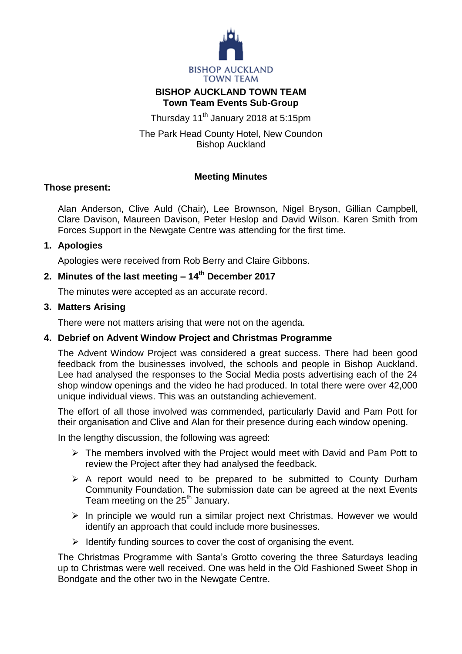

## **BISHOP AUCKLAND TOWN TEAM Town Team Events Sub-Group**

Thursday 11<sup>th</sup> January 2018 at 5:15pm

The Park Head County Hotel, New Coundon Bishop Auckland

## **Meeting Minutes**

## **Those present:**

Alan Anderson, Clive Auld (Chair), Lee Brownson, Nigel Bryson, Gillian Campbell, Clare Davison, Maureen Davison, Peter Heslop and David Wilson. Karen Smith from Forces Support in the Newgate Centre was attending for the first time.

# **1. Apologies**

Apologies were received from Rob Berry and Claire Gibbons.

# **2. Minutes of the last meeting – 14th December 2017**

The minutes were accepted as an accurate record.

# **3. Matters Arising**

There were not matters arising that were not on the agenda.

# **4. Debrief on Advent Window Project and Christmas Programme**

The Advent Window Project was considered a great success. There had been good feedback from the businesses involved, the schools and people in Bishop Auckland. Lee had analysed the responses to the Social Media posts advertising each of the 24 shop window openings and the video he had produced. In total there were over 42,000 unique individual views. This was an outstanding achievement.

The effort of all those involved was commended, particularly David and Pam Pott for their organisation and Clive and Alan for their presence during each window opening.

In the lengthy discussion, the following was agreed:

- $\triangleright$  The members involved with the Project would meet with David and Pam Pott to review the Project after they had analysed the feedback.
- $\triangleright$  A report would need to be prepared to be submitted to County Durham Community Foundation. The submission date can be agreed at the next Events Team meeting on the 25<sup>th</sup> January.
- $\triangleright$  In principle we would run a similar project next Christmas. However we would identify an approach that could include more businesses.
- $\triangleright$  Identify funding sources to cover the cost of organising the event.

The Christmas Programme with Santa's Grotto covering the three Saturdays leading up to Christmas were well received. One was held in the Old Fashioned Sweet Shop in Bondgate and the other two in the Newgate Centre.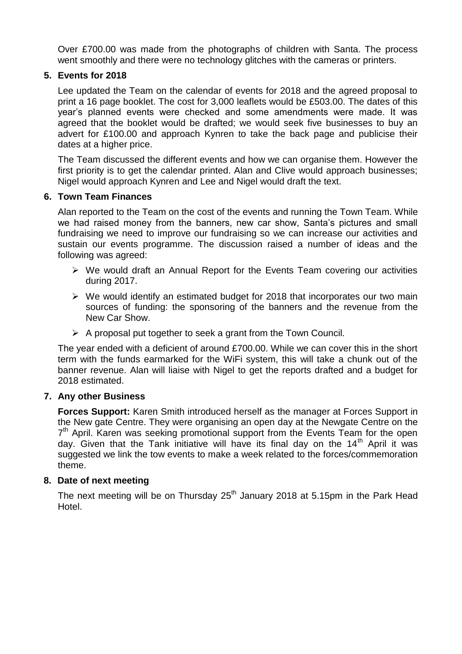Over £700.00 was made from the photographs of children with Santa. The process went smoothly and there were no technology glitches with the cameras or printers.

### **5. Events for 2018**

Lee updated the Team on the calendar of events for 2018 and the agreed proposal to print a 16 page booklet. The cost for 3,000 leaflets would be £503.00. The dates of this year's planned events were checked and some amendments were made. It was agreed that the booklet would be drafted; we would seek five businesses to buy an advert for £100.00 and approach Kynren to take the back page and publicise their dates at a higher price.

The Team discussed the different events and how we can organise them. However the first priority is to get the calendar printed. Alan and Clive would approach businesses; Nigel would approach Kynren and Lee and Nigel would draft the text.

### **6. Town Team Finances**

Alan reported to the Team on the cost of the events and running the Town Team. While we had raised money from the banners, new car show, Santa's pictures and small fundraising we need to improve our fundraising so we can increase our activities and sustain our events programme. The discussion raised a number of ideas and the following was agreed:

- $\triangleright$  We would draft an Annual Report for the Events Team covering our activities during 2017.
- $\triangleright$  We would identify an estimated budget for 2018 that incorporates our two main sources of funding: the sponsoring of the banners and the revenue from the New Car Show.
- $\triangleright$  A proposal put together to seek a grant from the Town Council.

The year ended with a deficient of around £700.00. While we can cover this in the short term with the funds earmarked for the WiFi system, this will take a chunk out of the banner revenue. Alan will liaise with Nigel to get the reports drafted and a budget for 2018 estimated.

#### **7. Any other Business**

**Forces Support:** Karen Smith introduced herself as the manager at Forces Support in the New gate Centre. They were organising an open day at the Newgate Centre on the 7<sup>th</sup> April. Karen was seeking promotional support from the Events Team for the open day. Given that the Tank initiative will have its final day on the  $14<sup>th</sup>$  April it was suggested we link the tow events to make a week related to the forces/commemoration theme.

#### **8. Date of next meeting**

The next meeting will be on Thursday  $25<sup>th</sup>$  January 2018 at 5.15pm in the Park Head Hotel.